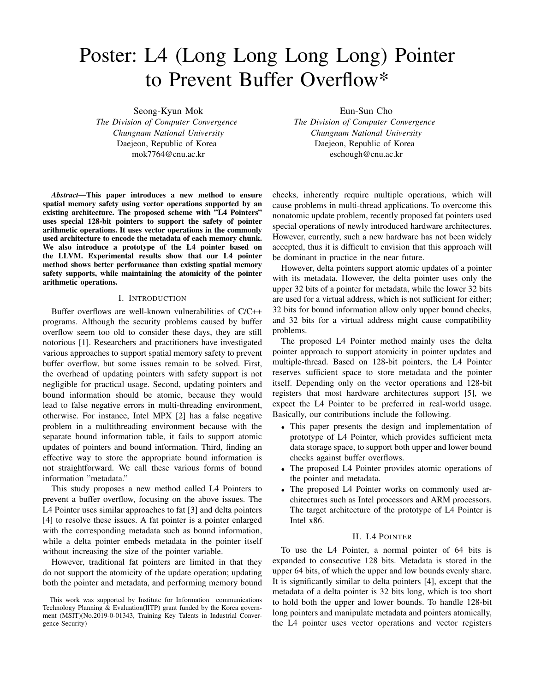# Poster: L4 (Long Long Long Long) Pointer to Prevent Buffer Overflow\*

Seong-Kyun Mok *The Division of Computer Convergence Chungnam National University* Daejeon, Republic of Korea mok7764@cnu.ac.kr

*Abstract*—This paper introduces a new method to ensure spatial memory safety using vector operations supported by an existing architecture. The proposed scheme with "L4 Pointers" uses special 128-bit pointers to support the safety of pointer arithmetic operations. It uses vector operations in the commonly used architecture to encode the metadata of each memory chunk. We also introduce a prototype of the L4 pointer based on the LLVM. Experimental results show that our L4 pointer method shows better performance than existing spatial memory safety supports, while maintaining the atomicity of the pointer arithmetic operations.

## I. INTRODUCTION

Buffer overflows are well-known vulnerabilities of C/C++ programs. Although the security problems caused by buffer overflow seem too old to consider these days, they are still notorious [1]. Researchers and practitioners have investigated various approaches to support spatial memory safety to prevent buffer overflow, but some issues remain to be solved. First, the overhead of updating pointers with safety support is not negligible for practical usage. Second, updating pointers and bound information should be atomic, because they would lead to false negative errors in multi-threading environment, otherwise. For instance, Intel MPX [2] has a false negative problem in a multithreading environment because with the separate bound information table, it fails to support atomic updates of pointers and bound information. Third, finding an effective way to store the appropriate bound information is not straightforward. We call these various forms of bound information "metadata."

This study proposes a new method called L4 Pointers to prevent a buffer overflow, focusing on the above issues. The L4 Pointer uses similar approaches to fat [3] and delta pointers [4] to resolve these issues. A fat pointer is a pointer enlarged with the corresponding metadata such as bound information, while a delta pointer embeds metadata in the pointer itself without increasing the size of the pointer variable.

However, traditional fat pointers are limited in that they do not support the atomicity of the update operation; updating both the pointer and metadata, and performing memory bound Eun-Sun Cho

*The Division of Computer Convergence Chungnam National University* Daejeon, Republic of Korea eschough@cnu.ac.kr

checks, inherently require multiple operations, which will cause problems in multi-thread applications. To overcome this nonatomic update problem, recently proposed fat pointers used special operations of newly introduced hardware architectures. However, currently, such a new hardware has not been widely accepted, thus it is difficult to envision that this approach will be dominant in practice in the near future.

However, delta pointers support atomic updates of a pointer with its metadata. However, the delta pointer uses only the upper 32 bits of a pointer for metadata, while the lower 32 bits are used for a virtual address, which is not sufficient for either; 32 bits for bound information allow only upper bound checks, and 32 bits for a virtual address might cause compatibility problems.

The proposed L4 Pointer method mainly uses the delta pointer approach to support atomicity in pointer updates and multiple-thread. Based on 128-bit pointers, the L4 Pointer reserves sufficient space to store metadata and the pointer itself. Depending only on the vector operations and 128-bit registers that most hardware architectures support [5], we expect the L4 Pointer to be preferred in real-world usage. Basically, our contributions include the following.

- This paper presents the design and implementation of prototype of L4 Pointer, which provides sufficient meta data storage space, to support both upper and lower bound checks against buffer overflows.
- The proposed L4 Pointer provides atomic operations of the pointer and metadata.
- The proposed L4 Pointer works on commonly used architectures such as Intel processors and ARM processors. The target architecture of the prototype of L4 Pointer is Intel x86.

#### II. L4 POINTER

To use the L4 Pointer, a normal pointer of 64 bits is expanded to consecutive 128 bits. Metadata is stored in the upper 64 bits, of which the upper and low bounds evenly share. It is significantly similar to delta pointers [4], except that the metadata of a delta pointer is 32 bits long, which is too short to hold both the upper and lower bounds. To handle 128-bit long pointers and manipulate metadata and pointers atomically, the L4 pointer uses vector operations and vector registers

This work was supported by Institute for Information communications Technology Planning & Evaluation(IITP) grant funded by the Korea government (MSIT)(No.2019-0-01343, Training Key Talents in Industrial Convergence Security)